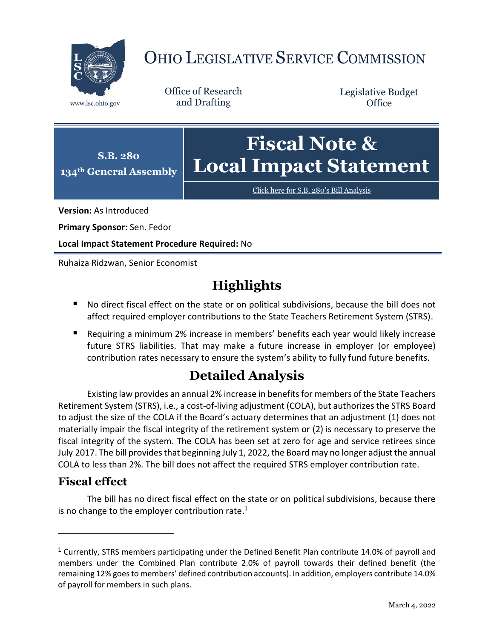

# OHIO LEGISLATIVE SERVICE COMMISSION

Office of Research www.lsc.ohio.gov and Drafting

Legislative Budget **Office** 



[Click here for S.B. 280](https://www.legislature.ohio.gov/legislation/legislation-documents?id=GA134-SB-280)'s Bill Analysis

**Version:** As Introduced

**Primary Sponsor:** Sen. Fedor

**Local Impact Statement Procedure Required:** No

Ruhaiza Ridzwan, Senior Economist

## **Highlights**

- No direct fiscal effect on the state or on political subdivisions, because the bill does not affect required employer contributions to the State Teachers Retirement System (STRS).
- Requiring a minimum 2% increase in members' benefits each year would likely increase future STRS liabilities. That may make a future increase in employer (or employee) contribution rates necessary to ensure the system's ability to fully fund future benefits.

## **Detailed Analysis**

Existing law provides an annual 2% increase in benefits for members of the State Teachers Retirement System (STRS), i.e., a cost-of-living adjustment (COLA), but authorizes the STRS Board to adjust the size of the COLA if the Board's actuary determines that an adjustment (1) does not materially impair the fiscal integrity of the retirement system or (2) is necessary to preserve the fiscal integrity of the system. The COLA has been set at zero for age and service retirees since July 2017. The bill provides that beginning July 1, 2022, the Board may no longer adjust the annual COLA to less than 2%. The bill does not affect the required STRS employer contribution rate.

### **Fiscal effect**

 $\overline{a}$ 

The bill has no direct fiscal effect on the state or on political subdivisions, because there is no change to the employer contribution rate.<sup>1</sup>

<sup>&</sup>lt;sup>1</sup> Currently, STRS members participating under the Defined Benefit Plan contribute 14.0% of payroll and members under the Combined Plan contribute 2.0% of payroll towards their defined benefit (the remaining 12% goes to members' defined contribution accounts). In addition, employers contribute 14.0% of payroll for members in such plans.